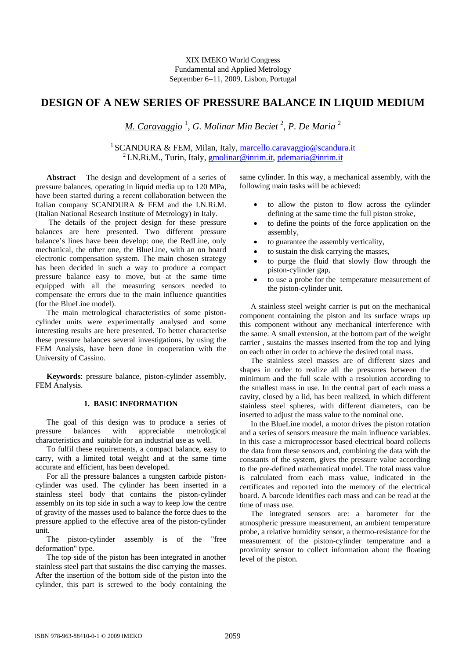# **DESIGN OF A NEW SERIES OF PRESSURE BALANCE IN LIQUID MEDIUM**

*M. Caravaggio* <sup>1</sup> , *G. Molinar Min Beciet* <sup>2</sup> , *P. De Maria* <sup>2</sup>

<sup>1</sup> SCANDURA & FEM, Milan, Italy, <u>marcello.caravaggio@scandura.it</u><br><sup>2</sup> I.N.Ri.M., Turin, Italy, gmolinar@inrim.it, pdemaria@inrim.it

Abstract – The design and development of a series of pressure balances, operating in liquid media up to 120 MPa, have been started during a recent collaboration between the Italian company SCANDURA & FEM and the I.N.Ri.M. (Italian National Research Institute of Metrology) in Italy.

 The details of the project design for these pressure balances are here presented. Two different pressure balance's lines have been develop: one, the RedLine, only mechanical, the other one, the BlueLine, with an on board electronic compensation system. The main chosen strategy has been decided in such a way to produce a compact pressure balance easy to move, but at the same time equipped with all the measuring sensors needed to compensate the errors due to the main influence quantities (for the BlueLine model).

The main metrological characteristics of some pistoncylinder units were experimentally analysed and some interesting results are here presented. To better characterise these pressure balances several investigations, by using the FEM Analysis, have been done in cooperation with the University of Cassino.

**Keywords**: pressure balance, piston-cylinder assembly, FEM Analysis.

## **1. BASIC INFORMATION**

The goal of this design was to produce a series of pressure balances with appreciable metrological characteristics and suitable for an industrial use as well.

To fulfil these requirements, a compact balance, easy to carry, with a limited total weight and at the same time accurate and efficient, has been developed.

For all the pressure balances a tungsten carbide pistoncylinder was used. The cylinder has been inserted in a stainless steel body that contains the piston-cylinder assembly on its top side in such a way to keep low the centre of gravity of the masses used to balance the force dues to the pressure applied to the effective area of the piston-cylinder unit.

The piston-cylinder assembly is of the "free deformation" type.

The top side of the piston has been integrated in another stainless steel part that sustains the disc carrying the masses. After the insertion of the bottom side of the piston into the cylinder, this part is screwed to the body containing the same cylinder. In this way, a mechanical assembly, with the following main tasks will be achieved:

- to allow the piston to flow across the cylinder defining at the same time the full piston stroke,
- to define the points of the force application on the assembly,
- to guarantee the assembly verticality,
- to sustain the disk carrying the masses,
- to purge the fluid that slowly flow through the piston-cylinder gap,
- to use a probe for the temperature measurement of the piston-cylinder unit.

A stainless steel weight carrier is put on the mechanical component containing the piston and its surface wraps up this component without any mechanical interference with the same. A small extension, at the bottom part of the weight carrier , sustains the masses inserted from the top and lying on each other in order to achieve the desired total mass.

The stainless steel masses are of different sizes and shapes in order to realize all the pressures between the minimum and the full scale with a resolution according to the smallest mass in use. In the central part of each mass a cavity, closed by a lid, has been realized, in which different stainless steel spheres, with different diameters, can be inserted to adjust the mass value to the nominal one.

In the BlueLine model, a motor drives the piston rotation and a series of sensors measure the main influence variables. In this case a microprocessor based electrical board collects the data from these sensors and, combining the data with the constants of the system, gives the pressure value according to the pre-defined mathematical model. The total mass value is calculated from each mass value, indicated in the certificates and reported into the memory of the electrical board. A barcode identifies each mass and can be read at the time of mass use.

The integrated sensors are: a barometer for the atmospheric pressure measurement, an ambient temperature probe, a relative humidity sensor, a thermo-resistance for the measurement of the piston-cylinder temperature and a proximity sensor to collect information about the floating level of the piston.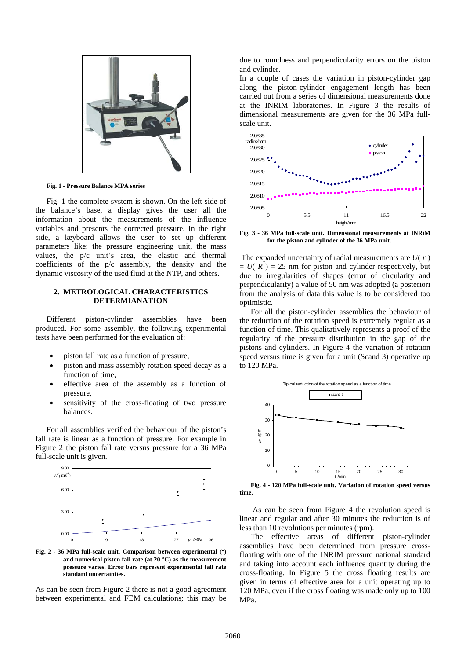

**Fig. 1 - Pressure Balance MPA series** 

Fig. 1 the complete system is shown. On the left side of the balance's base, a display gives the user all the information about the measurements of the influence variables and presents the corrected pressure. In the right side, a keyboard allows the user to set up different parameters like: the pressure engineering unit, the mass values, the p/c unit's area, the elastic and thermal coefficients of the p/c assembly, the density and the dynamic viscosity of the used fluid at the NTP, and others.

## **2. METROLOGICAL CHARACTERISTICS DETERMIANATION**

Different piston-cylinder assemblies have been produced. For some assembly, the following experimental tests have been performed for the evaluation of:

- piston fall rate as a function of pressure,
- piston and mass assembly rotation speed decay as a function of time,
- effective area of the assembly as a function of pressure,
- sensitivity of the cross-floating of two pressure balances.

For all assemblies verified the behaviour of the piston's fall rate is linear as a function of pressure. For example in Figure 2 the piston fall rate versus pressure for a 36 MPa full-scale unit is given.



**Fig. 2 - 36 MPa full-scale unit. Comparison between experimental (·) and numerical piston fall rate (at 20 °C) as the measurement pressure varies. Error bars represent experimental fall rate standard uncertainties.** 

As can be seen from Figure 2 there is not a good agreement between experimental and FEM calculations; this may be due to roundness and perpendicularity errors on the piston and cylinder.

In a couple of cases the variation in piston-cylinder gap along the piston-cylinder engagement length has been carried out from a series of dimensional measurements done at the INRIM laboratories. In Figure 3 the results of dimensional measurements are given for the 36 MPa fullscale unit.



**Fig. 3 - 36 MPa full-scale unit. Dimensional measurements at INRiM for the piston and cylinder of the 36 MPa unit.** 

 The expanded uncertainty of radial measurements are *U*( *r* )  $= U(R) = 25$  nm for piston and cylinder respectively, but due to irregularities of shapes (error of circularity and perpendicularity) a value of 50 nm was adopted (a posteriori from the analysis of data this value is to be considered too optimistic.

For all the piston-cylinder assemblies the behaviour of the reduction of the rotation speed is extremely regular as a function of time. This qualitatively represents a proof of the regularity of the pressure distribution in the gap of the pistons and cylinders. In Figure 4 the variation of rotation speed versus time is given for a unit (Scand 3) operative up to 120 MPa.



**Fig. 4 - 120 MPa full-scale unit. Variation of rotation speed versus time.** 

 As can be seen from Figure 4 the revolution speed is linear and regular and after 30 minutes the reduction is of less than 10 revolutions per minutes (rpm).

The effective areas of different piston-cylinder assemblies have been determined from pressure crossfloating with one of the INRIM pressure national standard and taking into account each influence quantity during the cross-floating. In Figure 5 the cross floating results are given in terms of effective area for a unit operating up to 120 MPa, even if the cross floating was made only up to 100 MPa.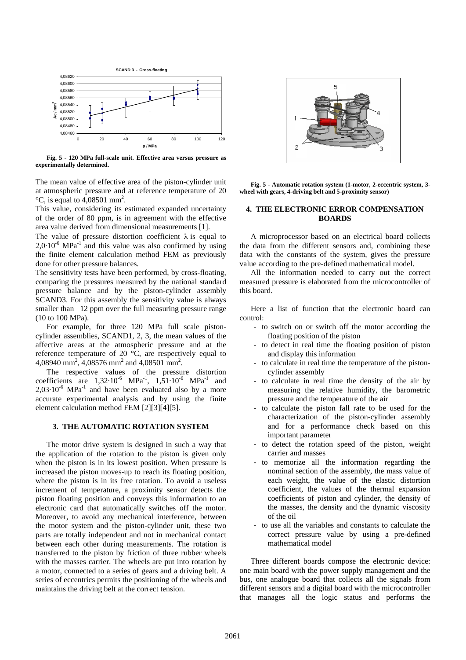

**Fig. 5 - 120 MPa full-scale unit. Effective area versus pressure as experimentally determined.**

The mean value of effective area of the piston-cylinder unit at atmospheric pressure and at reference temperature of 20  $\degree$ C, is equal to 4,08501 mm<sup>2</sup>.

This value, considering its estimated expanded uncertainty of the order of 80 ppm, is in agreement with the effective area value derived from dimensional measurements [1].

The value of pressure distortion coefficient  $\lambda$  is equal to  $2.0 \cdot 10^{-6}$  MPa<sup>-1</sup> and this value was also confirmed by using the finite element calculation method FEM as previously done for other pressure balances.

The sensitivity tests have been performed, by cross-floating, comparing the pressures measured by the national standard pressure balance and by the piston-cylinder assembly SCAND3. For this assembly the sensitivity value is always smaller than 12 ppm over the full measuring pressure range (10 to 100 MPa).

For example, for three 120 MPa full scale pistoncylinder assemblies, SCAND1, 2, 3, the mean values of the affective areas at the atmospheric pressure and at the reference temperature of 20 °C, are respectively equal to 4,08940 mm<sup>2</sup>, 4,08576 mm<sup>2</sup> and 4,08501 mm<sup>2</sup>.

The respective values of the pressure distortion coefficients are  $1,32.10^{-6}$  MPa<sup>-1</sup>,  $1,51.10^{-6}$  MPa<sup>-1</sup> and  $2,03\cdot10^{-6}$  MPa<sup>-1</sup> and have been evaluated also by a more accurate experimental analysis and by using the finite element calculation method FEM [2][3][4][5].

#### **3. THE AUTOMATIC ROTATION SYSTEM**

The motor drive system is designed in such a way that the application of the rotation to the piston is given only when the piston is in its lowest position. When pressure is increased the piston moves-up to reach its floating position, where the piston is in its free rotation. To avoid a useless increment of temperature, a proximity sensor detects the piston floating position and conveys this information to an electronic card that automatically switches off the motor. Moreover, to avoid any mechanical interference, between the motor system and the piston-cylinder unit, these two parts are totally independent and not in mechanical contact between each other during measurements. The rotation is transferred to the piston by friction of three rubber wheels with the masses carrier. The wheels are put into rotation by a motor, connected to a series of gears and a driving belt. A series of eccentrics permits the positioning of the wheels and maintains the driving belt at the correct tension.



**Fig. 5 - Automatic rotation system (1-motor, 2-eccentric system, 3 wheel with gears, 4-driving belt and 5-proximity sensor)** 

## **4. THE ELECTRONIC ERROR COMPENSATION BOARDS**

A microprocessor based on an electrical board collects the data from the different sensors and, combining these data with the constants of the system, gives the pressure value according to the pre-defined mathematical model.

All the information needed to carry out the correct measured pressure is elaborated from the microcontroller of this board.

Here a list of function that the electronic board can control:

- to switch on or switch off the motor according the floating position of the piston
- to detect in real time the floating position of piston and display this information
- to calculate in real time the temperature of the pistoncylinder assembly
- to calculate in real time the density of the air by measuring the relative humidity, the barometric pressure and the temperature of the air
- to calculate the piston fall rate to be used for the characterization of the piston-cylinder assembly and for a performance check based on this important parameter
- to detect the rotation speed of the piston, weight carrier and masses
- to memorize all the information regarding the nominal section of the assembly, the mass value of each weight, the value of the elastic distortion coefficient, the values of the thermal expansion coefficients of piston and cylinder, the density of the masses, the density and the dynamic viscosity of the oil
- to use all the variables and constants to calculate the correct pressure value by using a pre-defined mathematical model

Three different boards compose the electronic device: one main board with the power supply management and the bus, one analogue board that collects all the signals from different sensors and a digital board with the microcontroller that manages all the logic status and performs the